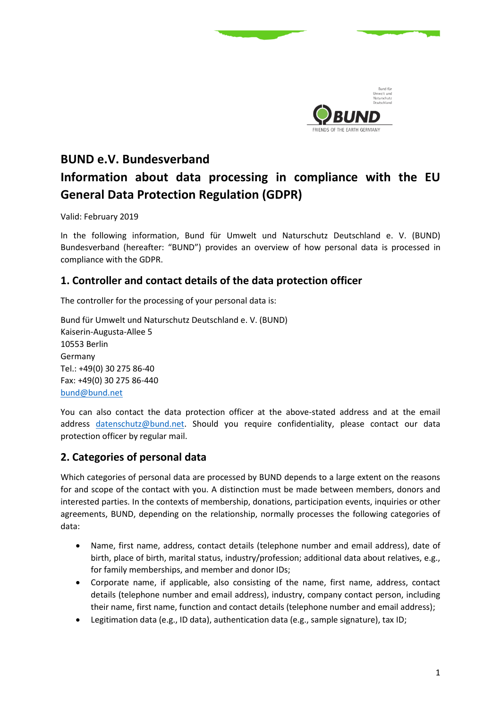

# **BUND e.V. Bundesverband Information about data processing in compliance with the EU General Data Protection Regulation (GDPR)**

Valid: February 2019

In the following information, Bund für Umwelt und Naturschutz Deutschland e. V. (BUND) Bundesverband (hereafter: "BUND") provides an overview of how personal data is processed in compliance with the GDPR.

# **1. Controller and contact details of the data protection officer**

The controller for the processing of your personal data is:

Bund für Umwelt und Naturschutz Deutschland e. V. (BUND) Kaiserin-Augusta-Allee 5 10553 Berlin Germany Tel.: +49(0) 30 275 86-40 Fax: +49(0) 30 275 86-440 [bund@bund.net](mailto:bund@bund.net)

You can also contact the data protection officer at the above-stated address and at the email address [datenschutz@bund.net.](mailto:datenschutz@bund.net) Should you require confidentiality, please contact our data protection officer by regular mail.

# **2. Categories of personal data**

Which categories of personal data are processed by BUND depends to a large extent on the reasons for and scope of the contact with you. A distinction must be made between members, donors and interested parties. In the contexts of membership, donations, participation events, inquiries or other agreements, BUND, depending on the relationship, normally processes the following categories of data:

- Name, first name, address, contact details (telephone number and email address), date of birth, place of birth, marital status, industry/profession; additional data about relatives, e.g., for family memberships, and member and donor IDs;
- Corporate name, if applicable, also consisting of the name, first name, address, contact details (telephone number and email address), industry, company contact person, including their name, first name, function and contact details (telephone number and email address);
- Legitimation data (e.g., ID data), authentication data (e.g., sample signature), tax ID;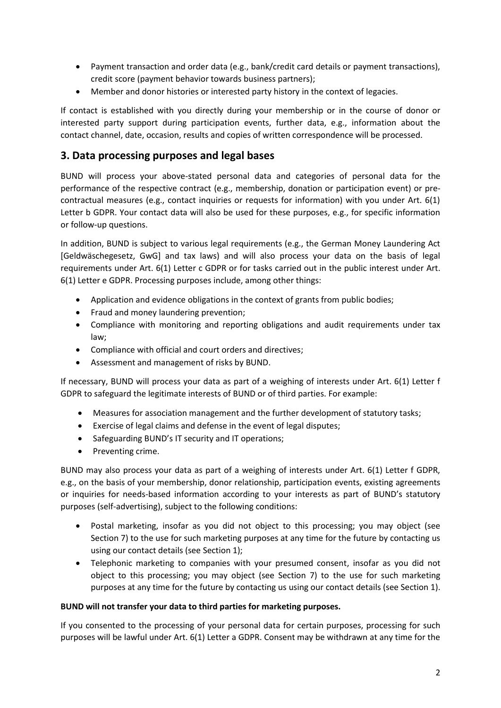- Payment transaction and order data (e.g., bank/credit card details or payment transactions), credit score (payment behavior towards business partners);
- Member and donor histories or interested party history in the context of legacies.

If contact is established with you directly during your membership or in the course of donor or interested party support during participation events, further data, e.g., information about the contact channel, date, occasion, results and copies of written correspondence will be processed.

## **3. Data processing purposes and legal bases**

BUND will process your above-stated personal data and categories of personal data for the performance of the respective contract (e.g., membership, donation or participation event) or precontractual measures (e.g., contact inquiries or requests for information) with you under Art. 6(1) Letter b GDPR. Your contact data will also be used for these purposes, e.g., for specific information or follow-up questions.

In addition, BUND is subject to various legal requirements (e.g., the German Money Laundering Act [Geldwäschegesetz, GwG] and tax laws) and will also process your data on the basis of legal requirements under Art. 6(1) Letter c GDPR or for tasks carried out in the public interest under Art. 6(1) Letter e GDPR. Processing purposes include, among other things:

- Application and evidence obligations in the context of grants from public bodies;
- Fraud and money laundering prevention;
- Compliance with monitoring and reporting obligations and audit requirements under tax law;
- Compliance with official and court orders and directives;
- Assessment and management of risks by BUND.

If necessary, BUND will process your data as part of a weighing of interests under Art. 6(1) Letter f GDPR to safeguard the legitimate interests of BUND or of third parties. For example:

- Measures for association management and the further development of statutory tasks;
- Exercise of legal claims and defense in the event of legal disputes;
- Safeguarding BUND's IT security and IT operations;
- Preventing crime.

BUND may also process your data as part of a weighing of interests under Art. 6(1) Letter f GDPR, e.g., on the basis of your membership, donor relationship, participation events, existing agreements or inquiries for needs-based information according to your interests as part of BUND's statutory purposes (self-advertising), subject to the following conditions:

- Postal marketing, insofar as you did not object to this processing; you may object (see Section 7) to the use for such marketing purposes at any time for the future by contacting us using our contact details (see Section 1);
- Telephonic marketing to companies with your presumed consent, insofar as you did not object to this processing; you may object (see Section 7) to the use for such marketing purposes at any time for the future by contacting us using our contact details (see Section 1).

#### **BUND will not transfer your data to third parties for marketing purposes.**

If you consented to the processing of your personal data for certain purposes, processing for such purposes will be lawful under Art. 6(1) Letter a GDPR. Consent may be withdrawn at any time for the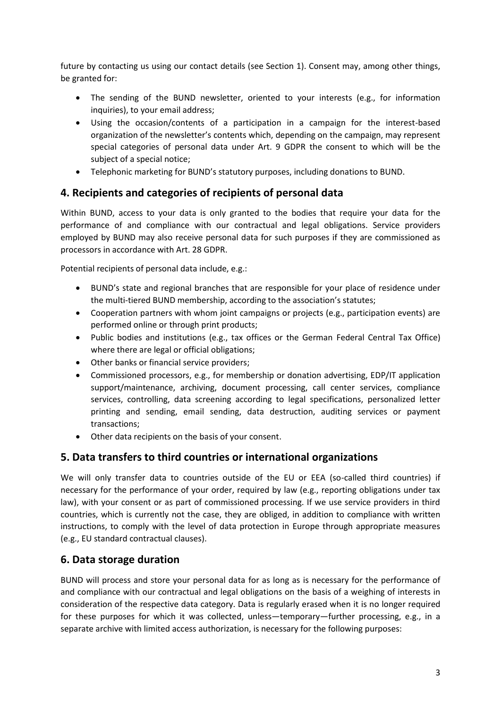future by contacting us using our contact details (see Section 1). Consent may, among other things, be granted for:

- The sending of the BUND newsletter, oriented to your interests (e.g., for information inquiries), to your email address;
- Using the occasion/contents of a participation in a campaign for the interest-based organization of the newsletter's contents which, depending on the campaign, may represent special categories of personal data under Art. 9 GDPR the consent to which will be the subject of a special notice;
- Telephonic marketing for BUND's statutory purposes, including donations to BUND.

## **4. Recipients and categories of recipients of personal data**

Within BUND, access to your data is only granted to the bodies that require your data for the performance of and compliance with our contractual and legal obligations. Service providers employed by BUND may also receive personal data for such purposes if they are commissioned as processors in accordance with Art. 28 GDPR.

Potential recipients of personal data include, e.g.:

- BUND's state and regional branches that are responsible for your place of residence under the multi-tiered BUND membership, according to the association's statutes;
- Cooperation partners with whom joint campaigns or projects (e.g., participation events) are performed online or through print products;
- Public bodies and institutions (e.g., tax offices or the German Federal Central Tax Office) where there are legal or official obligations;
- Other banks or financial service providers;
- Commissioned processors, e.g., for membership or donation advertising, EDP/IT application support/maintenance, archiving, document processing, call center services, compliance services, controlling, data screening according to legal specifications, personalized letter printing and sending, email sending, data destruction, auditing services or payment transactions;
- Other data recipients on the basis of your consent.

## **5. Data transfers to third countries or international organizations**

We will only transfer data to countries outside of the EU or EEA (so-called third countries) if necessary for the performance of your order, required by law (e.g., reporting obligations under tax law), with your consent or as part of commissioned processing. If we use service providers in third countries, which is currently not the case, they are obliged, in addition to compliance with written instructions, to comply with the level of data protection in Europe through appropriate measures (e.g., EU standard contractual clauses).

## **6. Data storage duration**

BUND will process and store your personal data for as long as is necessary for the performance of and compliance with our contractual and legal obligations on the basis of a weighing of interests in consideration of the respective data category. Data is regularly erased when it is no longer required for these purposes for which it was collected, unless—temporary—further processing, e.g., in a separate archive with limited access authorization, is necessary for the following purposes: